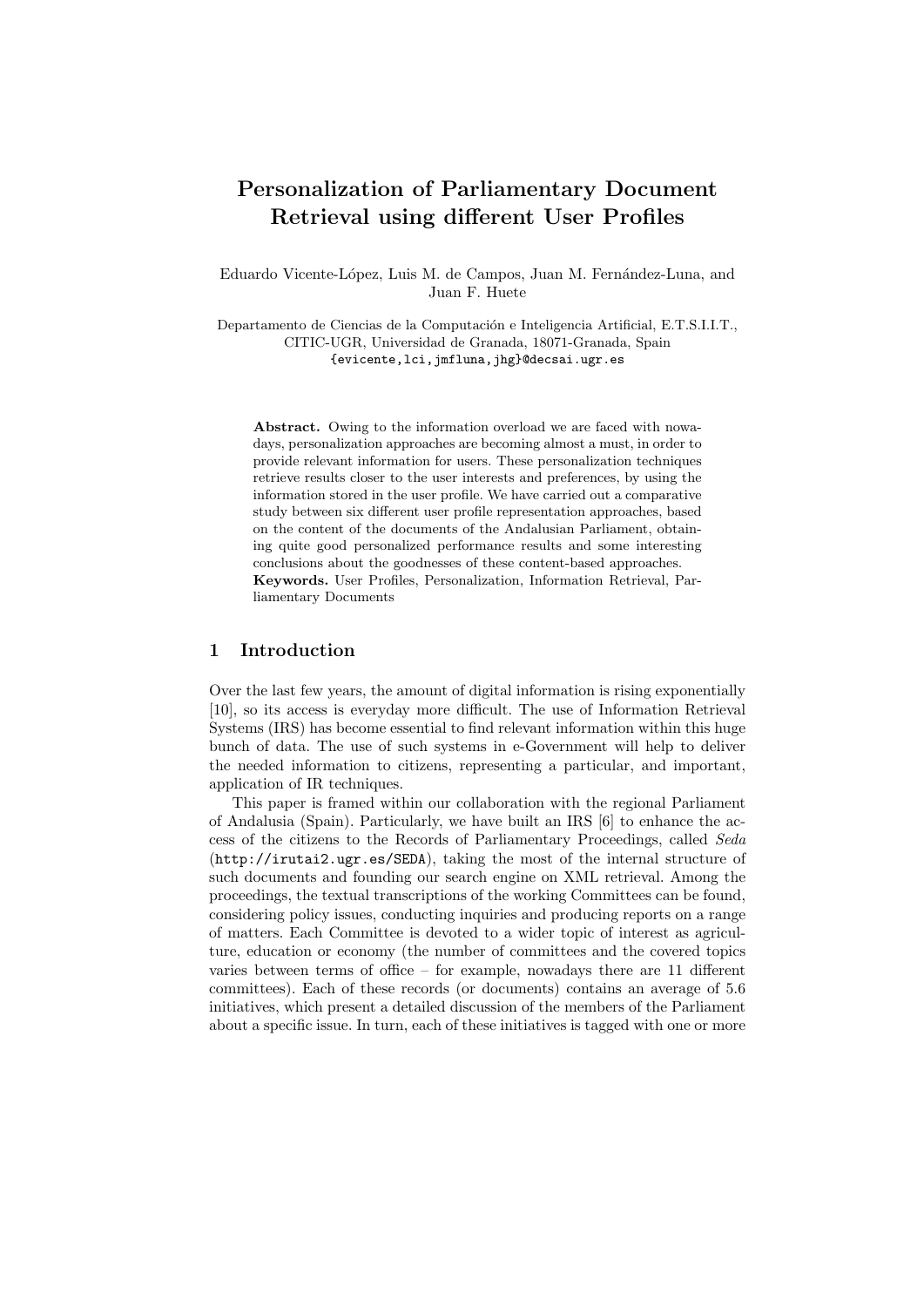# Personalization of Parliamentary Document Retrieval using different User Profiles

Eduardo Vicente-López, Luis M. de Campos, Juan M. Fernández-Luna, and Juan F. Huete

Departamento de Ciencias de la Computación e Inteligencia Artificial, E.T.S.I.I.T., CITIC-UGR, Universidad de Granada, 18071-Granada, Spain {evicente,lci,jmfluna,jhg}@decsai.ugr.es

Abstract. Owing to the information overload we are faced with nowadays, personalization approaches are becoming almost a must, in order to provide relevant information for users. These personalization techniques retrieve results closer to the user interests and preferences, by using the information stored in the user profile. We have carried out a comparative study between six different user profile representation approaches, based on the content of the documents of the Andalusian Parliament, obtaining quite good personalized performance results and some interesting conclusions about the goodnesses of these content-based approaches. Keywords. User Profiles, Personalization, Information Retrieval, Parliamentary Documents

# 1 Introduction

Over the last few years, the amount of digital information is rising exponentially [10], so its access is everyday more difficult. The use of Information Retrieval Systems (IRS) has become essential to find relevant information within this huge bunch of data. The use of such systems in e-Government will help to deliver the needed information to citizens, representing a particular, and important, application of IR techniques.

This paper is framed within our collaboration with the regional Parliament of Andalusia (Spain). Particularly, we have built an IRS [6] to enhance the access of the citizens to the Records of Parliamentary Proceedings, called Seda (http://irutai2.ugr.es/SEDA), taking the most of the internal structure of such documents and founding our search engine on XML retrieval. Among the proceedings, the textual transcriptions of the working Committees can be found, considering policy issues, conducting inquiries and producing reports on a range of matters. Each Committee is devoted to a wider topic of interest as agriculture, education or economy (the number of committees and the covered topics varies between terms of office – for example, nowadays there are 11 different committees). Each of these records (or documents) contains an average of 5.6 initiatives, which present a detailed discussion of the members of the Parliament about a specific issue. In turn, each of these initiatives is tagged with one or more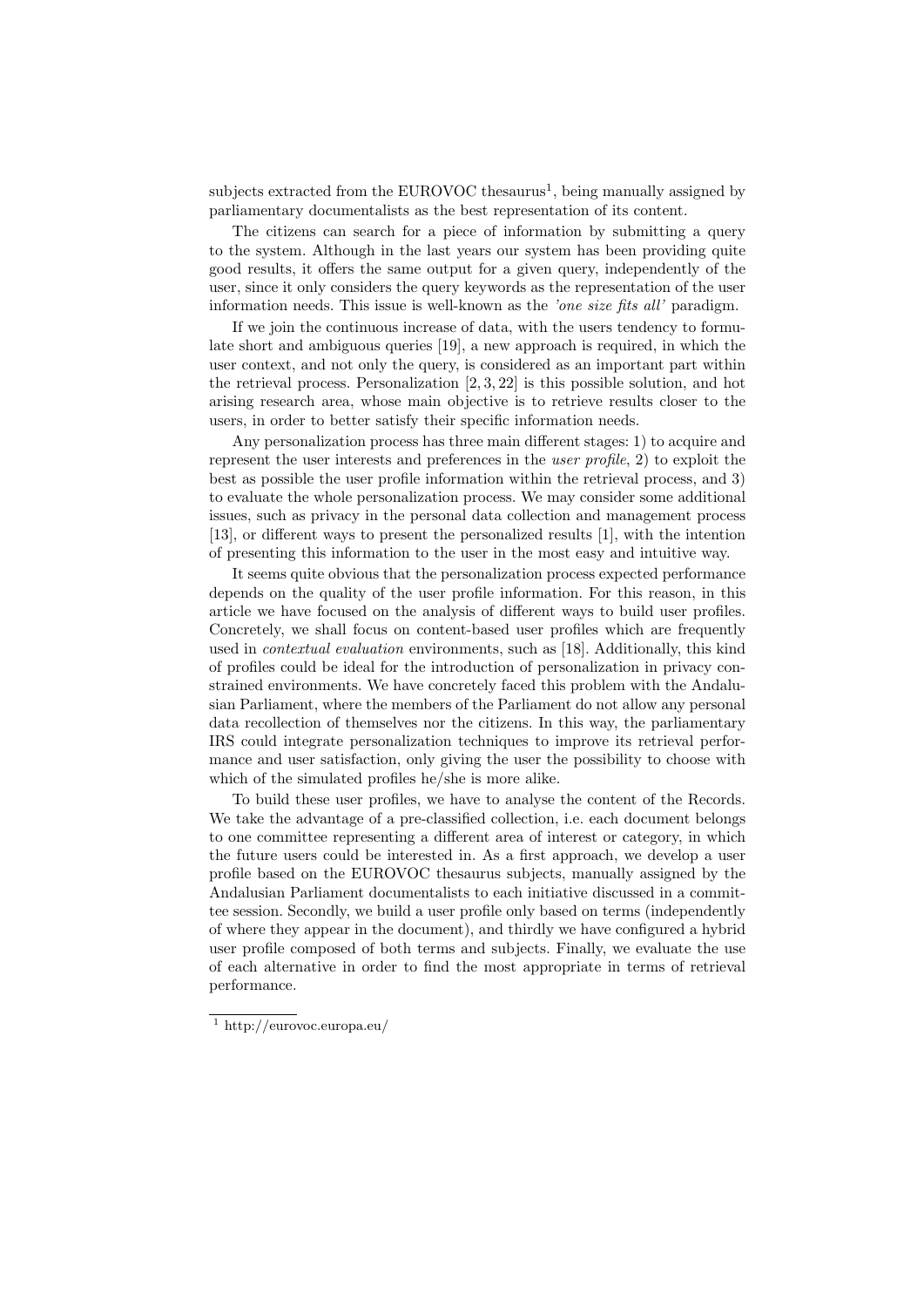subjects extracted from the EUROVOC thesaurus<sup>1</sup>, being manually assigned by parliamentary documentalists as the best representation of its content.

The citizens can search for a piece of information by submitting a query to the system. Although in the last years our system has been providing quite good results, it offers the same output for a given query, independently of the user, since it only considers the query keywords as the representation of the user information needs. This issue is well-known as the 'one size fits all' paradigm.

If we join the continuous increase of data, with the users tendency to formulate short and ambiguous queries [19], a new approach is required, in which the user context, and not only the query, is considered as an important part within the retrieval process. Personalization [2, 3, 22] is this possible solution, and hot arising research area, whose main objective is to retrieve results closer to the users, in order to better satisfy their specific information needs.

Any personalization process has three main different stages: 1) to acquire and represent the user interests and preferences in the user profile, 2) to exploit the best as possible the user profile information within the retrieval process, and 3) to evaluate the whole personalization process. We may consider some additional issues, such as privacy in the personal data collection and management process [13], or different ways to present the personalized results [1], with the intention of presenting this information to the user in the most easy and intuitive way.

It seems quite obvious that the personalization process expected performance depends on the quality of the user profile information. For this reason, in this article we have focused on the analysis of different ways to build user profiles. Concretely, we shall focus on content-based user profiles which are frequently used in contextual evaluation environments, such as [18]. Additionally, this kind of profiles could be ideal for the introduction of personalization in privacy constrained environments. We have concretely faced this problem with the Andalusian Parliament, where the members of the Parliament do not allow any personal data recollection of themselves nor the citizens. In this way, the parliamentary IRS could integrate personalization techniques to improve its retrieval performance and user satisfaction, only giving the user the possibility to choose with which of the simulated profiles he/she is more alike.

To build these user profiles, we have to analyse the content of the Records. We take the advantage of a pre-classified collection, i.e. each document belongs to one committee representing a different area of interest or category, in which the future users could be interested in. As a first approach, we develop a user profile based on the EUROVOC thesaurus subjects, manually assigned by the Andalusian Parliament documentalists to each initiative discussed in a committee session. Secondly, we build a user profile only based on terms (independently of where they appear in the document), and thirdly we have configured a hybrid user profile composed of both terms and subjects. Finally, we evaluate the use of each alternative in order to find the most appropriate in terms of retrieval performance.

<sup>1</sup> http://eurovoc.europa.eu/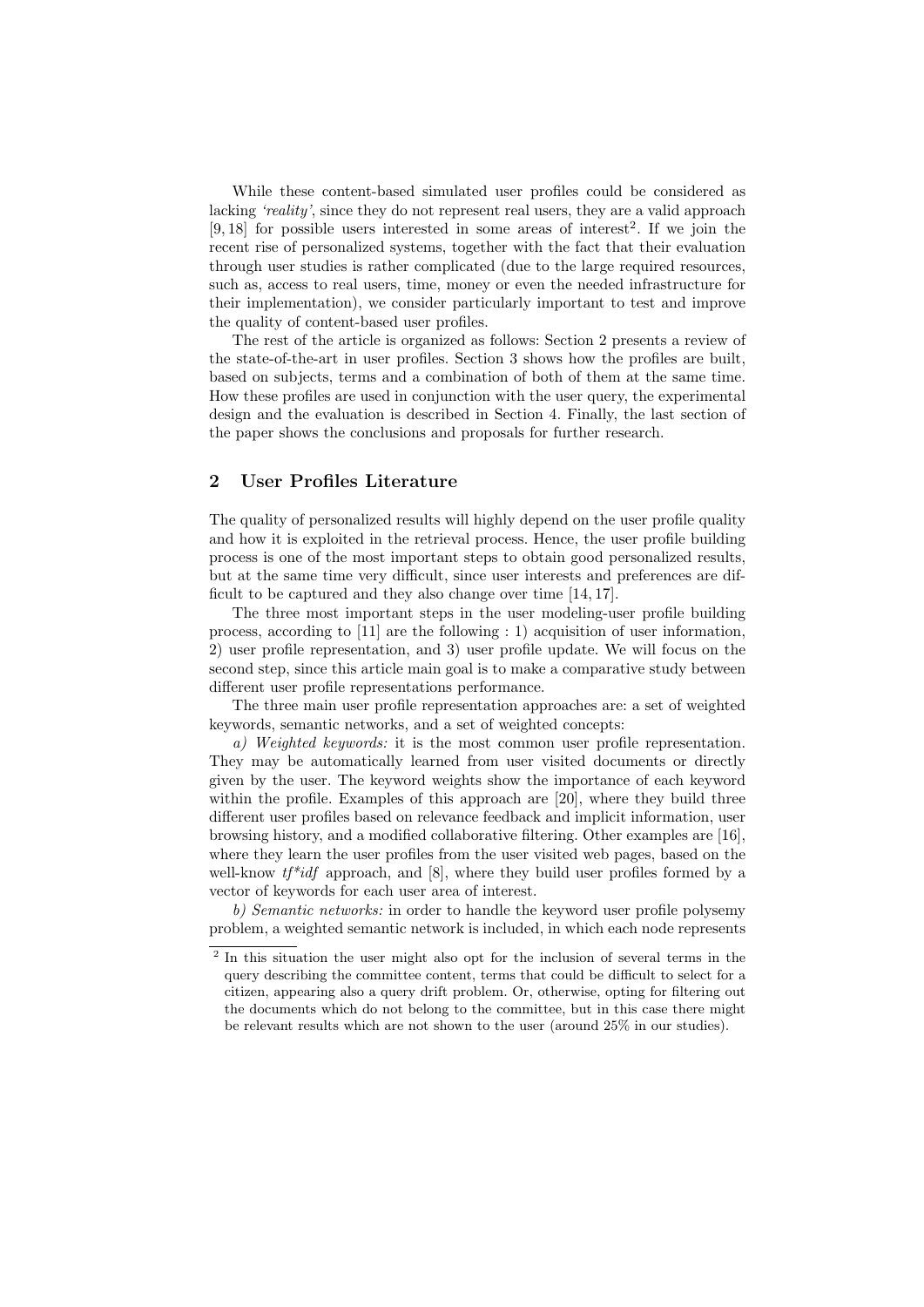While these content-based simulated user profiles could be considered as lacking 'reality', since they do not represent real users, they are a valid approach  $[9, 18]$  for possible users interested in some areas of interest<sup>2</sup>. If we join the recent rise of personalized systems, together with the fact that their evaluation through user studies is rather complicated (due to the large required resources, such as, access to real users, time, money or even the needed infrastructure for their implementation), we consider particularly important to test and improve the quality of content-based user profiles.

The rest of the article is organized as follows: Section 2 presents a review of the state-of-the-art in user profiles. Section 3 shows how the profiles are built, based on subjects, terms and a combination of both of them at the same time. How these profiles are used in conjunction with the user query, the experimental design and the evaluation is described in Section 4. Finally, the last section of the paper shows the conclusions and proposals for further research.

### 2 User Profiles Literature

The quality of personalized results will highly depend on the user profile quality and how it is exploited in the retrieval process. Hence, the user profile building process is one of the most important steps to obtain good personalized results, but at the same time very difficult, since user interests and preferences are difficult to be captured and they also change over time [14, 17].

The three most important steps in the user modeling-user profile building process, according to [11] are the following : 1) acquisition of user information, 2) user profile representation, and 3) user profile update. We will focus on the second step, since this article main goal is to make a comparative study between different user profile representations performance.

The three main user profile representation approaches are: a set of weighted keywords, semantic networks, and a set of weighted concepts:

a) Weighted keywords: it is the most common user profile representation. They may be automatically learned from user visited documents or directly given by the user. The keyword weights show the importance of each keyword within the profile. Examples of this approach are [20], where they build three different user profiles based on relevance feedback and implicit information, user browsing history, and a modified collaborative filtering. Other examples are [16], where they learn the user profiles from the user visited web pages, based on the well-know  $tf^*idf$  approach, and  $[8]$ , where they build user profiles formed by a vector of keywords for each user area of interest.

b) Semantic networks: in order to handle the keyword user profile polysemy problem, a weighted semantic network is included, in which each node represents

<sup>&</sup>lt;sup>2</sup> In this situation the user might also opt for the inclusion of several terms in the query describing the committee content, terms that could be difficult to select for a citizen, appearing also a query drift problem. Or, otherwise, opting for filtering out the documents which do not belong to the committee, but in this case there might be relevant results which are not shown to the user (around 25% in our studies).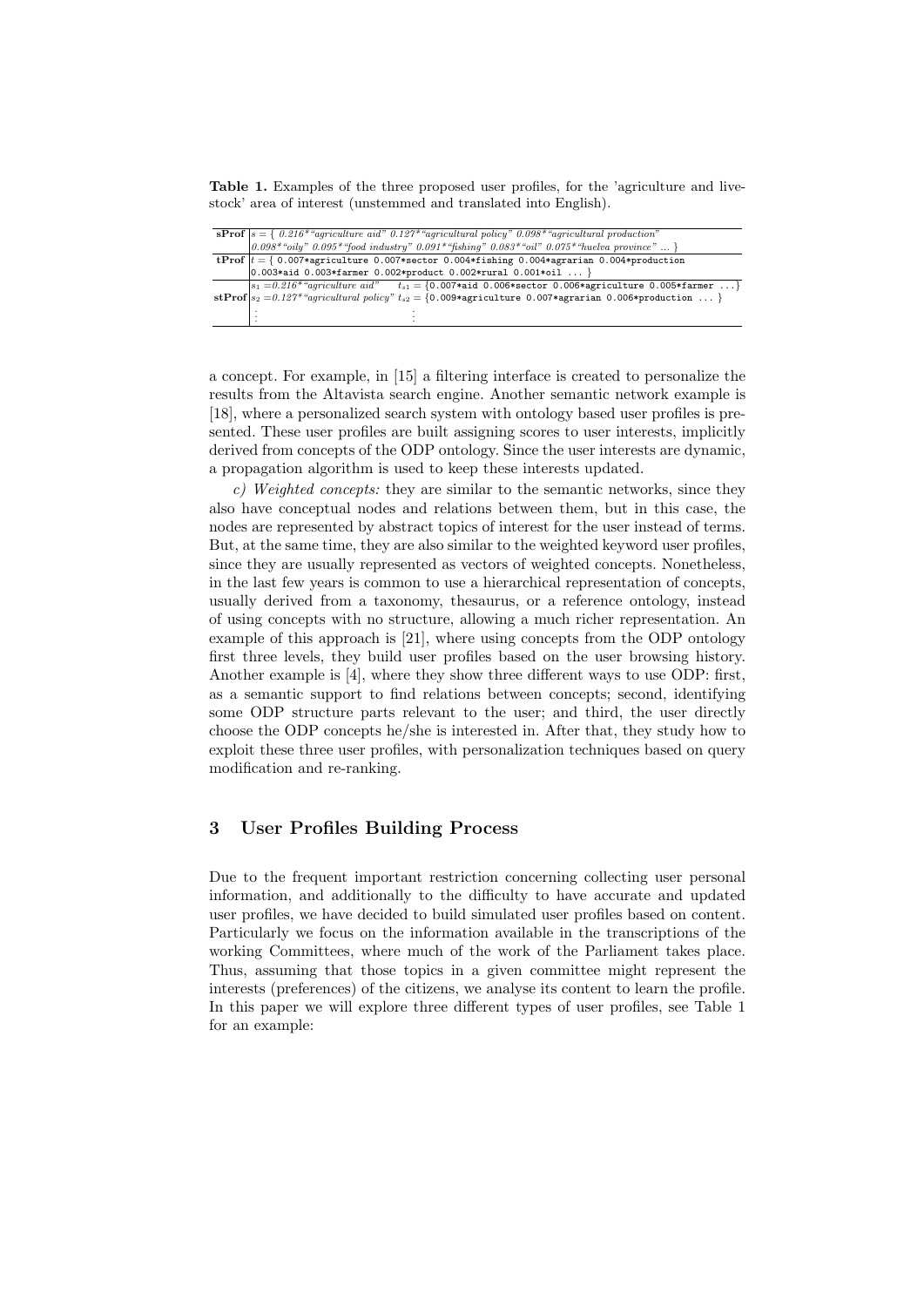Table 1. Examples of the three proposed user profiles, for the 'agriculture and livestock' area of interest (unstemmed and translated into English).

| <b>sProf</b> $s = \{ 0.216*$ "agriculture aid" $0.127*$ "agricultural policy" $0.098*$ "agricultural production"<br>$0.098*$ "oily" $0.095*$ "food industry" $0.091*$ "fishing" $0.083*$ "oil" $0.075*$ "huelva province"  } |  |  |  |  |  |  |  |
|------------------------------------------------------------------------------------------------------------------------------------------------------------------------------------------------------------------------------|--|--|--|--|--|--|--|
|                                                                                                                                                                                                                              |  |  |  |  |  |  |  |
| tProf $t = \{ 0.007*$ agriculture 0.007*sector 0.004*fishing 0.004*agrarian 0.004*production                                                                                                                                 |  |  |  |  |  |  |  |
| $[0.003*$ aid 0.003*farmer 0.002*product 0.002*rural 0.001*oil  }                                                                                                                                                            |  |  |  |  |  |  |  |
| $ s_1 = 0.216*$ "agriculture aid" $t_{s1} = \{0.007*$ aid 0.006*sector 0.006*agriculture 0.005*farmer }                                                                                                                      |  |  |  |  |  |  |  |
| stProf $ s_2=0.127^*$ "agricultural policy" $t_{s2}=\{0.009*$ agriculture 0.007* agrarian 0.006* production }                                                                                                                |  |  |  |  |  |  |  |
|                                                                                                                                                                                                                              |  |  |  |  |  |  |  |
|                                                                                                                                                                                                                              |  |  |  |  |  |  |  |

a concept. For example, in [15] a filtering interface is created to personalize the results from the Altavista search engine. Another semantic network example is [18], where a personalized search system with ontology based user profiles is presented. These user profiles are built assigning scores to user interests, implicitly derived from concepts of the ODP ontology. Since the user interests are dynamic, a propagation algorithm is used to keep these interests updated.

 $c)$  Weighted concepts: they are similar to the semantic networks, since they also have conceptual nodes and relations between them, but in this case, the nodes are represented by abstract topics of interest for the user instead of terms. But, at the same time, they are also similar to the weighted keyword user profiles, since they are usually represented as vectors of weighted concepts. Nonetheless, in the last few years is common to use a hierarchical representation of concepts, usually derived from a taxonomy, thesaurus, or a reference ontology, instead of using concepts with no structure, allowing a much richer representation. An example of this approach is [21], where using concepts from the ODP ontology first three levels, they build user profiles based on the user browsing history. Another example is [4], where they show three different ways to use ODP: first, as a semantic support to find relations between concepts; second, identifying some ODP structure parts relevant to the user; and third, the user directly choose the ODP concepts he/she is interested in. After that, they study how to exploit these three user profiles, with personalization techniques based on query modification and re-ranking.

# 3 User Profiles Building Process

Due to the frequent important restriction concerning collecting user personal information, and additionally to the difficulty to have accurate and updated user profiles, we have decided to build simulated user profiles based on content. Particularly we focus on the information available in the transcriptions of the working Committees, where much of the work of the Parliament takes place. Thus, assuming that those topics in a given committee might represent the interests (preferences) of the citizens, we analyse its content to learn the profile. In this paper we will explore three different types of user profiles, see Table 1 for an example: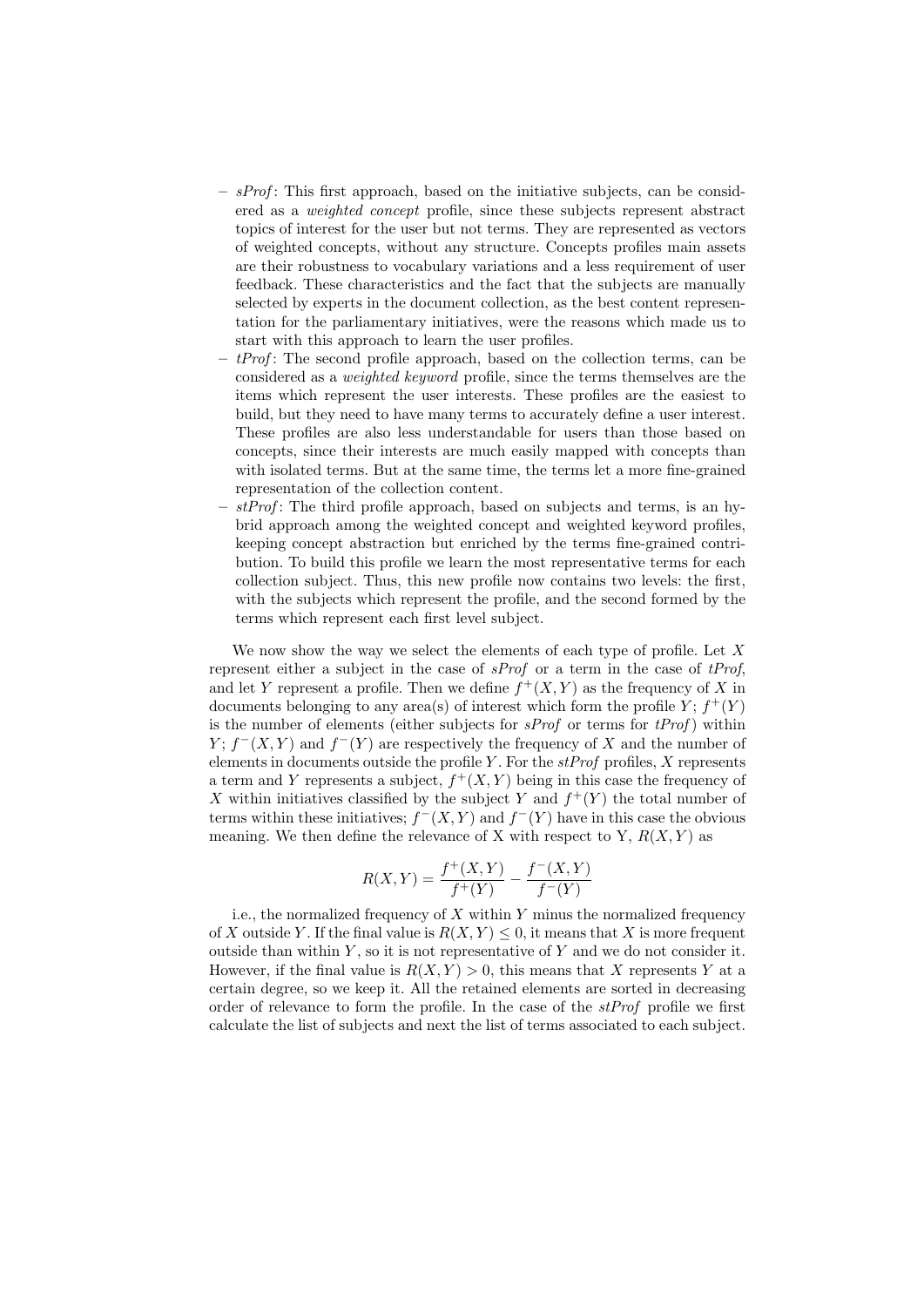- $-$  sProf: This first approach, based on the initiative subjects, can be considered as a weighted concept profile, since these subjects represent abstract topics of interest for the user but not terms. They are represented as vectors of weighted concepts, without any structure. Concepts profiles main assets are their robustness to vocabulary variations and a less requirement of user feedback. These characteristics and the fact that the subjects are manually selected by experts in the document collection, as the best content representation for the parliamentary initiatives, were the reasons which made us to start with this approach to learn the user profiles.
- $t$ Prof: The second profile approach, based on the collection terms, can be considered as a weighted keyword profile, since the terms themselves are the items which represent the user interests. These profiles are the easiest to build, but they need to have many terms to accurately define a user interest. These profiles are also less understandable for users than those based on concepts, since their interests are much easily mapped with concepts than with isolated terms. But at the same time, the terms let a more fine-grained representation of the collection content.
- $stProf$ : The third profile approach, based on subjects and terms, is an hybrid approach among the weighted concept and weighted keyword profiles, keeping concept abstraction but enriched by the terms fine-grained contribution. To build this profile we learn the most representative terms for each collection subject. Thus, this new profile now contains two levels: the first, with the subjects which represent the profile, and the second formed by the terms which represent each first level subject.

We now show the way we select the elements of each type of profile. Let  $X$ represent either a subject in the case of  $s\text{Prof}$  or a term in the case of  $t\text{Prof}$ , and let Y represent a profile. Then we define  $f^+(X, Y)$  as the frequency of X in documents belonging to any area(s) of interest which form the profile  $Y; f^+(Y)$ is the number of elements (either subjects for  $sProf$  or terms for  $tProf$ ) within  $Y; f^-(X,Y)$  and  $f^-(Y)$  are respectively the frequency of X and the number of elements in documents outside the profile Y. For the  $stProf$  profiles, X represents a term and Y represents a subject,  $f^+(X, Y)$  being in this case the frequency of X within initiatives classified by the subject Y and  $f^+(Y)$  the total number of terms within these initiatives;  $f^-(X, Y)$  and  $f^-(Y)$  have in this case the obvious meaning. We then define the relevance of X with respect to Y,  $R(X, Y)$  as

$$
R(X,Y) = \frac{f^+(X,Y)}{f^+(Y)} - \frac{f^-(X,Y)}{f^-(Y)}
$$

i.e., the normalized frequency of  $X$  within  $Y$  minus the normalized frequency of X outside Y. If the final value is  $R(X, Y) \leq 0$ , it means that X is more frequent outside than within  $Y$ , so it is not representative of  $Y$  and we do not consider it. However, if the final value is  $R(X, Y) > 0$ , this means that X represents Y at a certain degree, so we keep it. All the retained elements are sorted in decreasing order of relevance to form the profile. In the case of the  $stProf$  profile we first calculate the list of subjects and next the list of terms associated to each subject.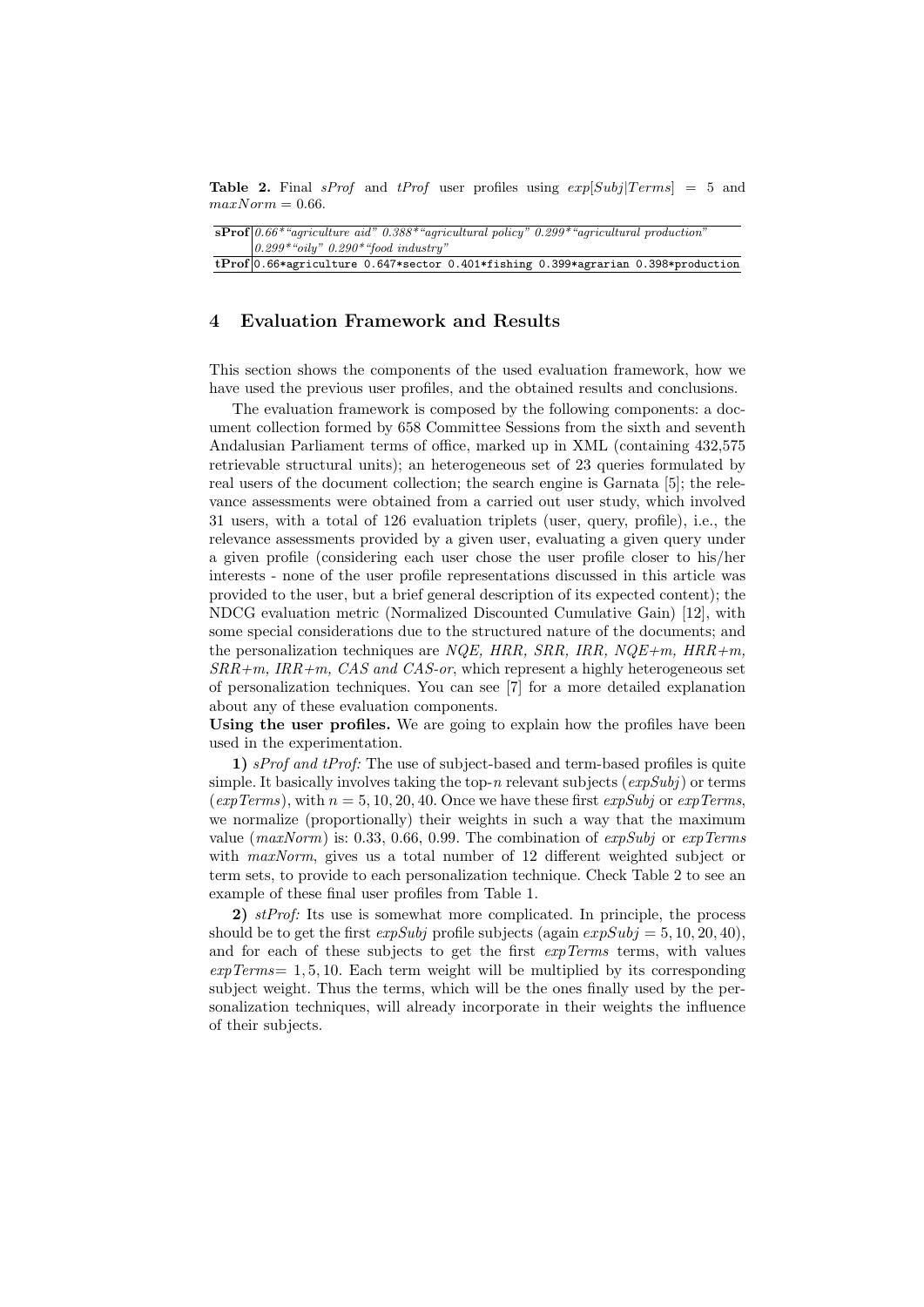**Table 2.** Final sProf and tProf user profiles using  $exp[Subi|Terms] = 5$  and  $maxNorm = 0.66$ .

| $\mathbf{sProf}$ 0.66* "agriculture aid" 0.388* "agricultural policy" 0.299* "agricultural production" |  |  |  |  |  |  |  |  |  |
|--------------------------------------------------------------------------------------------------------|--|--|--|--|--|--|--|--|--|
| $0.299$ * "oily" $0.290$ * "food industry"                                                             |  |  |  |  |  |  |  |  |  |
| tProf $ 0.66*$ agriculture 0.647*sector 0.401*fishing 0.399*agrarian 0.398*production                  |  |  |  |  |  |  |  |  |  |

#### 4 Evaluation Framework and Results

This section shows the components of the used evaluation framework, how we have used the previous user profiles, and the obtained results and conclusions.

The evaluation framework is composed by the following components: a document collection formed by 658 Committee Sessions from the sixth and seventh Andalusian Parliament terms of office, marked up in XML (containing 432,575 retrievable structural units); an heterogeneous set of 23 queries formulated by real users of the document collection; the search engine is Garnata [5]; the relevance assessments were obtained from a carried out user study, which involved 31 users, with a total of 126 evaluation triplets (user, query, profile), i.e., the relevance assessments provided by a given user, evaluating a given query under a given profile (considering each user chose the user profile closer to his/her interests - none of the user profile representations discussed in this article was provided to the user, but a brief general description of its expected content); the NDCG evaluation metric (Normalized Discounted Cumulative Gain) [12], with some special considerations due to the structured nature of the documents; and the personalization techniques are NQE, HRR, SRR, IRR, NQE+m, HRR+m,  $SRR+m$ ,  $IRR+m$ ,  $CAS$  and  $CAS-or$ , which represent a highly heterogeneous set of personalization techniques. You can see [7] for a more detailed explanation about any of these evaluation components.

Using the user profiles. We are going to explain how the profiles have been used in the experimentation.

1) sProf and tProf: The use of subject-based and term-based profiles is quite simple. It basically involves taking the top-n relevant subjects  $(expSubj)$  or terms (expTerms), with  $n = 5, 10, 20, 40$ . Once we have these first expSubj or expTerms, we normalize (proportionally) their weights in such a way that the maximum value  $(maxNorm)$  is: 0.33, 0.66, 0.99. The combination of  $expSubj$  or  $expTerms$ with maxNorm, gives us a total number of 12 different weighted subject or term sets, to provide to each personalization technique. Check Table 2 to see an example of these final user profiles from Table 1.

2)  $stProf:$  Its use is somewhat more complicated. In principle, the process should be to get the first *expSubj* profile subjects (again  $expSubj = 5, 10, 20, 40$ ), and for each of these subjects to get the first  $expTerms$  terms, with values  $expTerms = 1, 5, 10$ . Each term weight will be multiplied by its corresponding subject weight. Thus the terms, which will be the ones finally used by the personalization techniques, will already incorporate in their weights the influence of their subjects.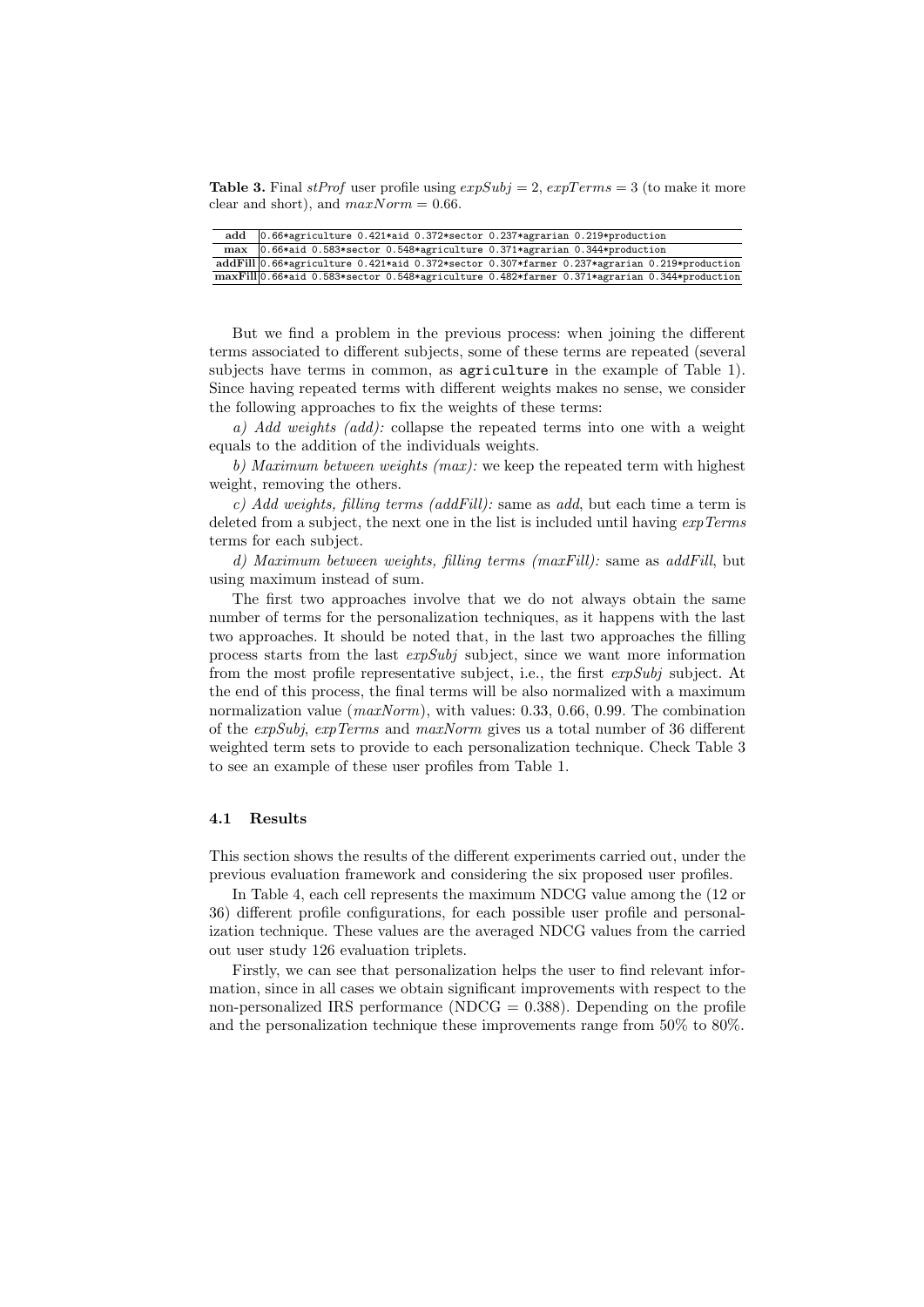**Table 3.** Final stProf user profile using  $expSubj = 2$ ,  $expTerms = 3$  (to make it more clear and short), and  $maxNorm = 0.66$ .

| add | $0.66*$ agriculture 0.421*aid 0.372*sector 0.237*agrarian 0.219*production                   |
|-----|----------------------------------------------------------------------------------------------|
|     | max $ 0.66*$ aid 0.583*sector 0.548*agriculture 0.371*agrarian 0.344*production              |
|     | addFill 0.66*agriculture 0.421*aid 0.372*sector 0.307*farmer 0.237*agrarian 0.219*production |
|     | maxFill 0.66*aid 0.583*sector 0.548*agriculture 0.482*farmer 0.371*agrarian 0.344*production |

But we find a problem in the previous process: when joining the different terms associated to different subjects, some of these terms are repeated (several subjects have terms in common, as agriculture in the example of Table 1). Since having repeated terms with different weights makes no sense, we consider the following approaches to fix the weights of these terms:

a) Add weights (add): collapse the repeated terms into one with a weight equals to the addition of the individuals weights.

b) Maximum between weights (max): we keep the repeated term with highest weight, removing the others.

c) Add weights, filling terms (addFill): same as add, but each time a term is deleted from a subject, the next one in the list is included until having  $expTerms$ terms for each subject.

d) Maximum between weights, filling terms (maxFill): same as addFill, but using maximum instead of sum.

The first two approaches involve that we do not always obtain the same number of terms for the personalization techniques, as it happens with the last two approaches. It should be noted that, in the last two approaches the filling process starts from the last expSubj subject, since we want more information from the most profile representative subject, i.e., the first expSubj subject. At the end of this process, the final terms will be also normalized with a maximum normalization value  $(maxNorm)$ , with values: 0.33, 0.66, 0.99. The combination of the expSubj, expTerms and maxNorm gives us a total number of 36 different weighted term sets to provide to each personalization technique. Check Table 3 to see an example of these user profiles from Table 1.

#### 4.1 Results

This section shows the results of the different experiments carried out, under the previous evaluation framework and considering the six proposed user profiles.

In Table 4, each cell represents the maximum NDCG value among the (12 or 36) different profile configurations, for each possible user profile and personalization technique. These values are the averaged NDCG values from the carried out user study 126 evaluation triplets.

Firstly, we can see that personalization helps the user to find relevant information, since in all cases we obtain significant improvements with respect to the non-personalized IRS performance (NDCG  $= 0.388$ ). Depending on the profile and the personalization technique these improvements range from 50% to 80%.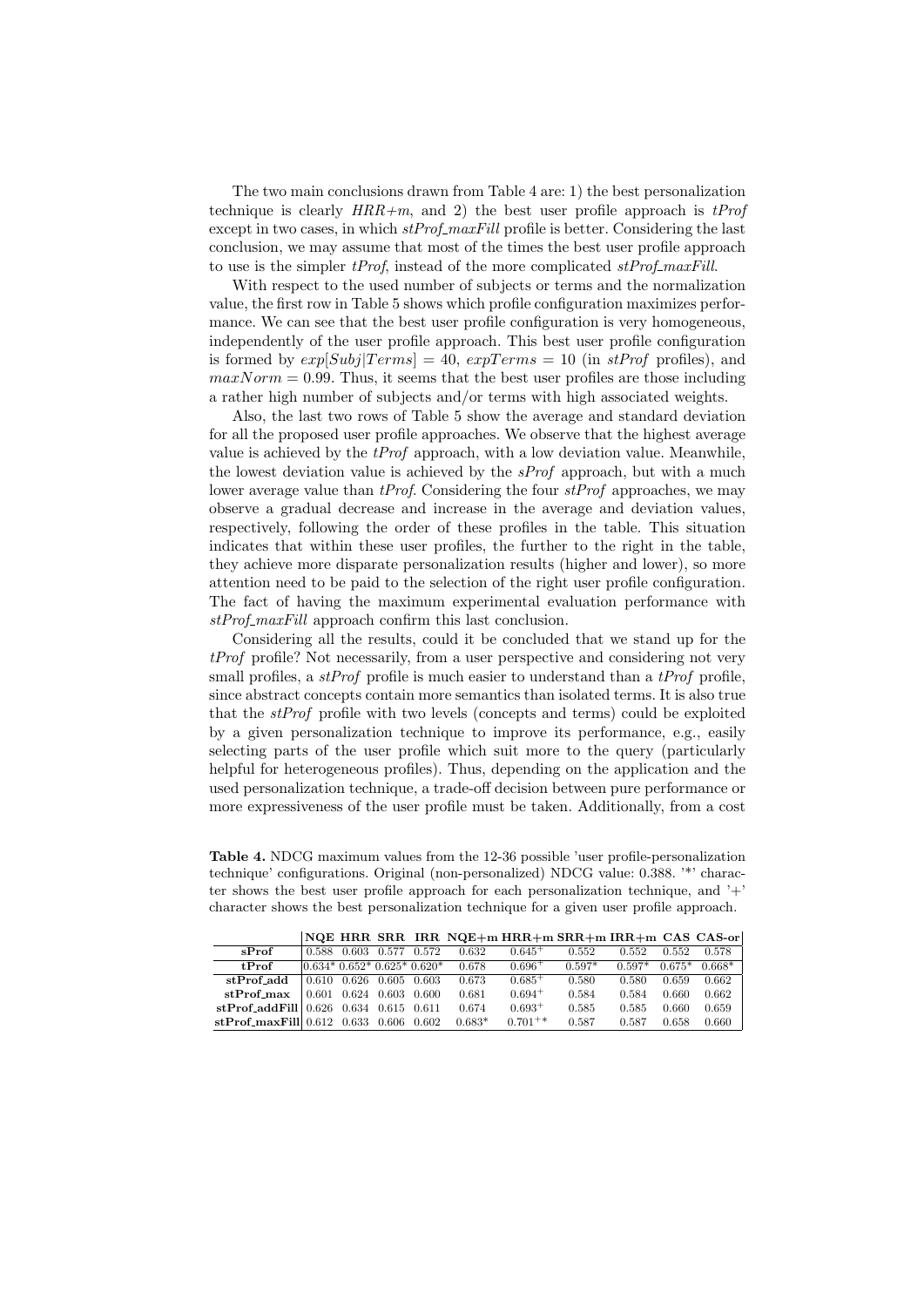The two main conclusions drawn from Table 4 are: 1) the best personalization technique is clearly  $HRR+m$ , and 2) the best user profile approach is  $tProf$ except in two cases, in which  $stProf\_maxFill$  profile is better. Considering the last conclusion, we may assume that most of the times the best user profile approach to use is the simpler  $tProt$ , instead of the more complicated  $stProt_{\text{maxFill}}$ .

With respect to the used number of subjects or terms and the normalization value, the first row in Table 5 shows which profile configuration maximizes performance. We can see that the best user profile configuration is very homogeneous, independently of the user profile approach. This best user profile configuration is formed by  $exp[Subj[Terms] = 40$ ,  $expTerms = 10$  (in  $stProf$  profiles), and  $maxNorm = 0.99$ . Thus, it seems that the best user profiles are those including a rather high number of subjects and/or terms with high associated weights.

Also, the last two rows of Table 5 show the average and standard deviation for all the proposed user profile approaches. We observe that the highest average value is achieved by the  $tProof$  approach, with a low deviation value. Meanwhile, the lowest deviation value is achieved by the  $sProf$  approach, but with a much lower average value than  $t\text{Prof}$ . Considering the four  $st\text{Prof}$  approaches, we may observe a gradual decrease and increase in the average and deviation values, respectively, following the order of these profiles in the table. This situation indicates that within these user profiles, the further to the right in the table, they achieve more disparate personalization results (higher and lower), so more attention need to be paid to the selection of the right user profile configuration. The fact of having the maximum experimental evaluation performance with stProf\_maxFill approach confirm this last conclusion.

Considering all the results, could it be concluded that we stand up for the tProf profile? Not necessarily, from a user perspective and considering not very small profiles, a  $stProf$  profile is much easier to understand than a  $tProf$  profile, since abstract concepts contain more semantics than isolated terms. It is also true that the stProf profile with two levels (concepts and terms) could be exploited by a given personalization technique to improve its performance, e.g., easily selecting parts of the user profile which suit more to the query (particularly helpful for heterogeneous profiles). Thus, depending on the application and the used personalization technique, a trade-off decision between pure performance or more expressiveness of the user profile must be taken. Additionally, from a cost

Table 4. NDCG maximum values from the 12-36 possible 'user profile-personalization technique' configurations. Original (non-personalized) NDCG value: 0.388. '\*' character shows the best user profile approach for each personalization technique, and '+' character shows the best personalization technique for a given user profile approach.

|                                                         |       |                             |             |       |          | NQE HRR SRR IRR NQE $+m$ HRR+m SRR+m IRR+m CAS CAS-or |          |          |          |          |
|---------------------------------------------------------|-------|-----------------------------|-------------|-------|----------|-------------------------------------------------------|----------|----------|----------|----------|
| sProf                                                   | 0.588 |                             | 0.603 0.577 | 0.572 | 0.632    | $0.645+$                                              | 0.552    | 0.552    | 0.552    | 0.578    |
| t <b>Prof</b>                                           |       | $ 0.634*0.652*0.625*0.620*$ |             |       | 0.678    | $0.696+$                                              | $0.597*$ | $0.597*$ | $0.675*$ | $0.668*$ |
| stProf_add                                              |       | 0.610 0.626 0.605 0.603     |             |       | 0.673    | $0.685^{+}$                                           | 0.580    | 0.580    | 0.659    | 0.662    |
| $stProf\_max$                                           |       | 0.601 0.624 0.603 0.600     |             |       | 0.681    | $0.694+$                                              | 0.584    | 0.584    | 0.660    | 0.662    |
| $\textbf{stProf\_addFill} \mid 0.626$ 0.634 0.615 0.611 |       |                             |             |       | 0.674    | $0.693+$                                              | 0.585    | 0.585    | 0.660    | 0.659    |
| $\textbf{stProf\_maxFill} \, 0.612 \, 0.633 \, 0.606$   |       |                             |             | 0.602 | $0.683*$ | $0.701^{+*}$                                          | 0.587    | 0.587    | 0.658    | 0.660    |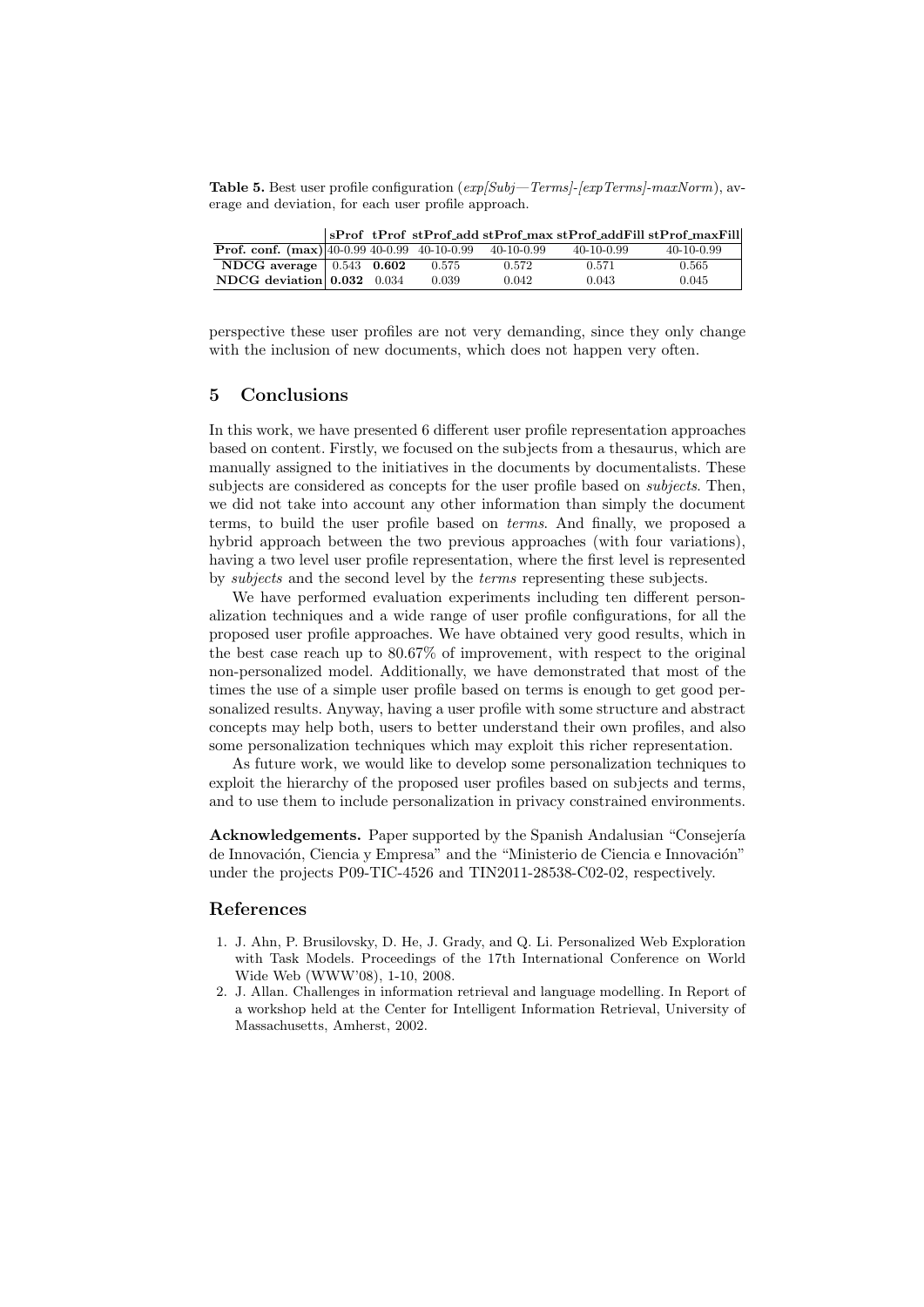**Table 5.** Best user profile configuration  $(exp|Subi-Terms|-[expTerms]-maxNorm)$ , average and deviation, for each user profile approach.

|                                                       |  |       |            |              | SProf tProf stProf_add stProf_max stProf_addFill stProf_maxFill |
|-------------------------------------------------------|--|-------|------------|--------------|-----------------------------------------------------------------|
| <b>Prof. conf.</b> $(max) 40-0.99 40-0.99 40-10-0.99$ |  |       | 40-10-0.99 | $40-10-0.99$ | $40-10-0.99$                                                    |
| NDCG average $\vert$ 0.543 0.602                      |  | 0.575 | 0.572      | 0.571        | 0.565                                                           |
| NDCG deviation $0.032$ 0.034                          |  | 0.039 | 0.042      | 0.043        | 0.045                                                           |

perspective these user profiles are not very demanding, since they only change with the inclusion of new documents, which does not happen very often.

#### 5 Conclusions

In this work, we have presented 6 different user profile representation approaches based on content. Firstly, we focused on the subjects from a thesaurus, which are manually assigned to the initiatives in the documents by documentalists. These subjects are considered as concepts for the user profile based on subjects. Then, we did not take into account any other information than simply the document terms, to build the user profile based on terms. And finally, we proposed a hybrid approach between the two previous approaches (with four variations), having a two level user profile representation, where the first level is represented by subjects and the second level by the terms representing these subjects.

We have performed evaluation experiments including ten different personalization techniques and a wide range of user profile configurations, for all the proposed user profile approaches. We have obtained very good results, which in the best case reach up to 80.67% of improvement, with respect to the original non-personalized model. Additionally, we have demonstrated that most of the times the use of a simple user profile based on terms is enough to get good personalized results. Anyway, having a user profile with some structure and abstract concepts may help both, users to better understand their own profiles, and also some personalization techniques which may exploit this richer representation.

As future work, we would like to develop some personalization techniques to exploit the hierarchy of the proposed user profiles based on subjects and terms, and to use them to include personalization in privacy constrained environments.

Acknowledgements. Paper supported by the Spanish Andalusian "Consejería de Innovación, Ciencia y Empresa" and the "Ministerio de Ciencia e Innovación" under the projects P09-TIC-4526 and TIN2011-28538-C02-02, respectively.

# References

- 1. J. Ahn, P. Brusilovsky, D. He, J. Grady, and Q. Li. Personalized Web Exploration with Task Models. Proceedings of the 17th International Conference on World Wide Web (WWW'08), 1-10, 2008.
- 2. J. Allan. Challenges in information retrieval and language modelling. In Report of a workshop held at the Center for Intelligent Information Retrieval, University of Massachusetts, Amherst, 2002.